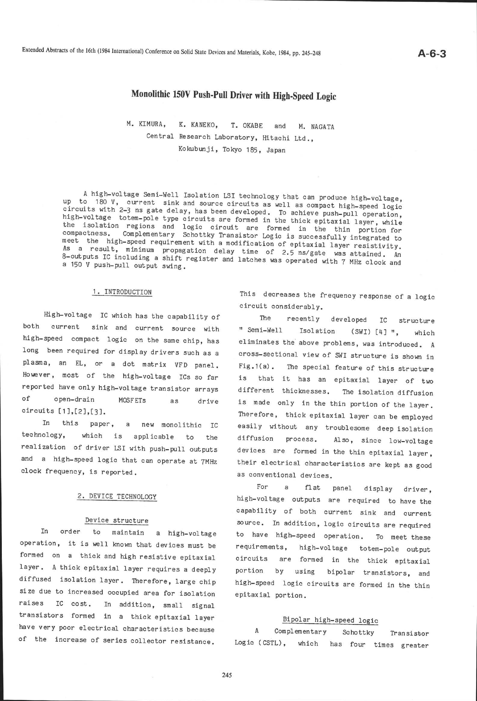# Monolithic 150v Push-Pull Driver with High-speed Logic

M. KIMURA, K. KANEKO, T. OKABE and M. NAGATA Central Research Laboratory, Hitachi Ltd., Kokubunji, Tokyo 185, Japan

A high-voltage Semi-Well Isolation LSI technology that can produce high-voltage, mpless with 2-3 ns gate delay, has been developed. To achieve push-pull operation<br>circuits with 2-3 ns gate delay, has been developed. To achieve push-pull operation<br>high-voltage totem-pole type circuits are formed in the to 180 V. current sink and source circuits as well as compact high-speed logic<br>uits with 2-3 as anto delay below that as well as compact high-speed logic high-voltage totem-pole type circuits are formed in the thick epitaxial layer, while the isolation regions and logic circuits are formed in the thick epitaxial layer, while<br>compactness. Complementary Schottky Transistor Logic is supposed in the thin portion for meet Complementary Schottky Transistor Logic is successfully integrated to meet the high-speed requirement with a modification of epitaxial layer resistivity.<br>As a result, minimum propagation delay time of 25 prices and any existivity. 8-outputs IC including a shift register and latches was operated with 7 MHz clock and<br>a 150 V push-pull output swing. a result, minimum propagation delay time of 2.5 ns/gate was attained. An<br>thuts IC including a phift and the of 2.5 ns/gate was attained. An a 150 V push-pull

#### 1. INTRODUCTION

High-voltage IC which has the capabllity of both current sink and current source with high-speed compact logic on the same chip, has long been required for display drivers such as <sup>a</sup> plasma, an EL, or a dot matrix VFD panel. However, most of the high-voltage ICs so far reported have only high-voltage transistor arrays of open-drain MOSFETs as circuits  $[1],[2],[3]$ . drive

In this paper, a new monolithic IC technology, which is appl icable to the realization of driver ISI with push-pull outputs and a high-speed logic that can operate at 7MHz clock frequency, is reported.

#### 2. DEVICE TECHNOLOGY

#### Device structure

In order to maintain a high\_voltage operation, it is well known that devices must be formed on a thick and high resistive epitaxial layer. A thick epitaxial layer requires a deeply diffused isolation 1ayer. Therefore, Iarge chip size due to increased occupied area for isolation raises IC cost. In addition, small signal transistors formed in a thick epitaxial Iayer have very poor electrical characteristics because of the increase of series collector resistance.

This decreases the frequency response of a logic circuit considerably.

The recently developed IC strueture " Semi-Well Isolation (SWI) [4] ", which eliminates the above problems, was introduced. A cross-sectional view of SWI structure is shown in Fig.1(a). The special feature of this structure is fhat it has an epitaxial layer of two different thicknesses. The isolation diffusion is made only in the thin portion of the layer. Therefore, thick epitaxial layer can be employed easily without any troublesome deep isolation diffusion process. Also, since low-voltage devices are formed in the thin epitaxial layer, their electrical characteristics are kept as good as conventional devices.

For a flat panel display driver, high-voltage outputs are required to have the capability of both current sink and current source. In addition, logic circuits are required to have high-speed operation. To meet these requirements, high-voltage totem\_pole output circuits are formed in the thick epitaxial portion by using bipolar transistors, and high-speed logic circuits are formed in the thin epitaxial portion.

## Bipolar high-speed logic

 $\mathbf{A}$ Complementary Schottky Transistor Logic (CSTL), which has four times greater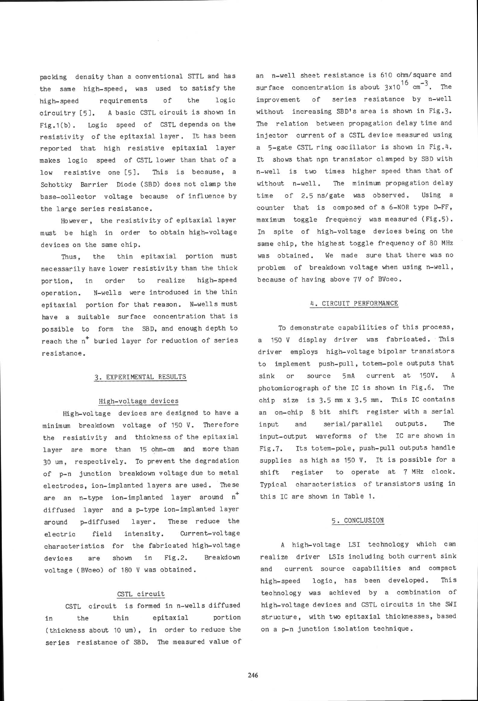packing density than a conventional STTL and has the same high-speed, was used to satisfy the high-speed requirements of the logic circuitry [5]. A basic CSTL circuit is shown in Fig.1(b). Logic speed of CSTL depends on the resistivity of the epitaxial layer. It has been reported that high resistive epitaxial layer makes logic speed of CSTL lower than that of <sup>a</sup> low resistive one [5]. This is because, a Schottky Barrier Diode (SBD) does not clamp the base-collector voltage because of influence by the large series resistance.

However, the resistivity of epitaxial layer must be high in order fo obtain high-voltage devlces on the same chip.

Thus, the thin epitaxial portion must necessarily have lower resistivity than the thick portion, in order to realize high-speed operation. N-wells were introduced in the thin epitaxial portion for that reason. N-wells must have a suitable surface concentration that is possible to form the SBD, and enough depth to reach the n<sup>+</sup> buried layer for reduction of series resi stance .

#### 3. EXPERIMENTAL RESULTS

#### High-voltage devices

High-voltage devices are designed to have <sup>a</sup> minimum breakdown voltage of 150 V. Therefore the resistivity and thickness of the epitaxial layer are more than 15 ohm-cm and more than 30 um, respectively. To prevent the degradation of p-n junction breakdown voltage due to metal electrodes, ion-implanted Iayers are used. These are an n-type ion-implanted layer around n\* diffused layer and a p-type ion-implanted layer around p-diffused layer. These reduce the electric field intensity. Current-voltage characteristics for the fabricated high-voltage devices are shown in Fig.2. Breakdown voltage (BVceo) of 180 V was obtained.

### CSTL circuit

CSTL circuit is formed in n-weIls diffused in the thin epitax ial portion (thickness about 10 um), in order to reduce the series reslstance of SBD. The measured value of an n-welI sheet resisfance is 610 ohm/square and surface concentration is about  $3x10^{16}$  cm<sup>-3</sup>. The improvement of series resistance by n-well without increasing SBDis area is shown in Fig.3. The relation between propagation delay time and injector current of a CSTL device measured using a S-gate CSTL ring oscillator is shown in Fig.4. It shows that npn transistor clamped by SBD with n-well is two times higher speed than fhat of without n-well. The minimum propagation delay time of 2.5 ns/gate was observed. Using a counter that is composed of a 6-NOR type D-FF, maximum toggle frequency was measured (Fig.5). In spite of high-voltage devices being on the same chip, the highest toggle frequency of 80 MHz was obtained. We made sure that there was no problem of breakdown voltage when using n-well, because of having above 7V of BVceo.

#### 4. CIRCUIT PERFORMANCE

To demonstrate capabilities of this process, a 150 V display driver was fabricated. This driver employs high-voltage bipolar transistors to implement push-pull, totem-pole outputs that sink or source 5mA current at 150V. <sup>A</sup> photomicrograph of the IC is shown in Fig.6. The chip size is 3.5 mm x 3.5 mm. This IC contains an on-chip 8 bit shift register with a serial input and serial/parallel outputs. The input-output waveforms of the IC are shown in Fig.7. Its totem-pole, push-pull outputs handle supplies as high as 150 V. It is possible for <sup>a</sup> shift register to operate at 7 MHz clock. Typical characteristics of transistors using in this IC are shown in Table 1.

#### 5. CONCLUSION

A high-voltage LSI technology which can realize driver LSIs including both current sink and current source capabil ities and compact high-speed logic, has been developed. This technology was achieved by a combination of high-voltage devices and CSTL circuits in the SWI structure, with two epitaxial thicknesses, based on a p-n junction isolation technique.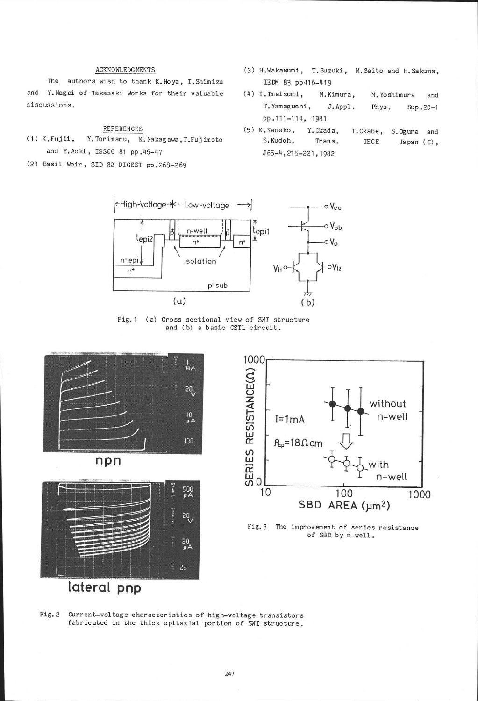#### **ACKNOWLEDGMENTS**

The authors wish to thank K. Hoya, I. Shimizu and Y. Nagai of Takasaki Works for their valuable discussions.

**REFERENCES** 

 $(1)$  K. Fujii, Y. Torimaru, K. Nakagawa, T. Fujimoto and Y.Aoki, ISSCC 81 pp.46-47

(2) Basil Weir, SID 82 DIGEST pp.268-269

- (3) H.Wakawumi, T.Suzuki, M.Saito and H.Sakuma. IEDM 83 pp416-419
- $(4)$  I. Imaizumi, M.Kimura, M. Yoshimura and T. Yamaguchi, J.Appl. Phys. Sup.20-1 pp.111-114, 1981
- (5) K.Kaneko, Y.Okada, T.Okabe, S.Ogura and S.Kudoh, Trans. IECE Japan (C). J65-4, 215-221, 1982



Fig. 1 (a) Cross sectional view of SWI structure and (b) a basic CSTL circuit.











Fig. 2 Current-voltage characteristics of high-voltage transistors fabricated in the thick epitaxial portion of SWI structure.